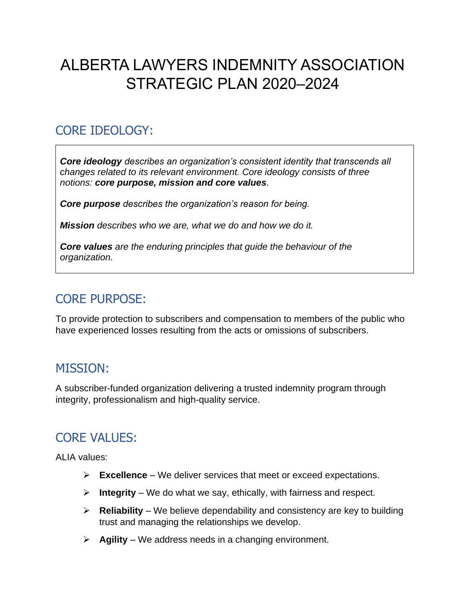# ALBERTA LAWYERS INDEMNITY ASSOCIATION STRATEGIC PLAN 2020–2024

# CORE IDEOLOGY:

*Core ideology describes an organization's consistent identity that transcends all changes related to its relevant environment. Core ideology consists of three notions: core purpose, mission and core values.* 

*Core purpose describes the organization's reason for being.* 

*Mission describes who we are, what we do and how we do it.* 

*Core values are the enduring principles that guide the behaviour of the organization.*

## CORE PURPOSE:

To provide protection to subscribers and compensation to members of the public who have experienced losses resulting from the acts or omissions of subscribers.

### MISSION:

A subscriber-funded organization delivering a trusted indemnity program through integrity, professionalism and high-quality service.

# CORE VALUES:

ALIA values:

- ➢ **Excellence** We deliver services that meet or exceed expectations.
- ➢ **Integrity** We do what we say, ethically, with fairness and respect.
- ➢ **Reliability** We believe dependability and consistency are key to building trust and managing the relationships we develop.
- ➢ **Agility** We address needs in a changing environment.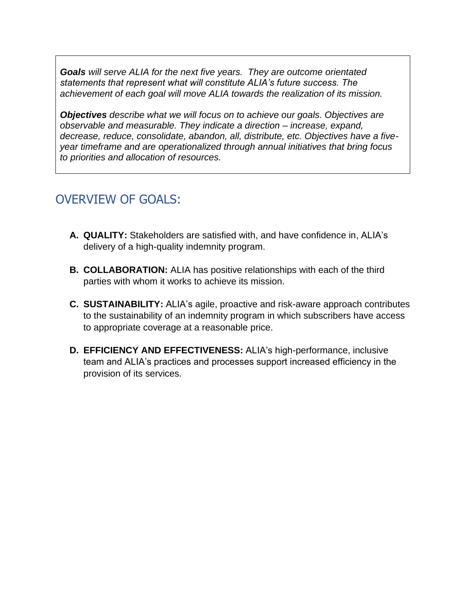*Goals will serve ALIA for the next five years. They are outcome orientated statements that represent what will constitute ALIA's future success. The achievement of each goal will move ALIA towards the realization of its mission.*

*Objectives describe what we will focus on to achieve our goals. Objectives are observable and measurable. They indicate a direction – increase, expand, decrease, reduce, consolidate, abandon, all, distribute, etc. Objectives have a fiveyear timeframe and are operationalized through annual initiatives that bring focus to priorities and allocation of resources.*

## OVERVIEW OF GOALS:

- **A. QUALITY:** Stakeholders are satisfied with, and have confidence in, ALIA's delivery of a high-quality indemnity program.
- **B. COLLABORATION:** ALIA has positive relationships with each of the third parties with whom it works to achieve its mission.
- **C. SUSTAINABILITY:** ALIA's agile, proactive and risk-aware approach contributes to the sustainability of an indemnity program in which subscribers have access to appropriate coverage at a reasonable price.
- **D. EFFICIENCY AND EFFECTIVENESS:** ALIA's high-performance, inclusive team and ALIA's practices and processes support increased efficiency in the provision of its services.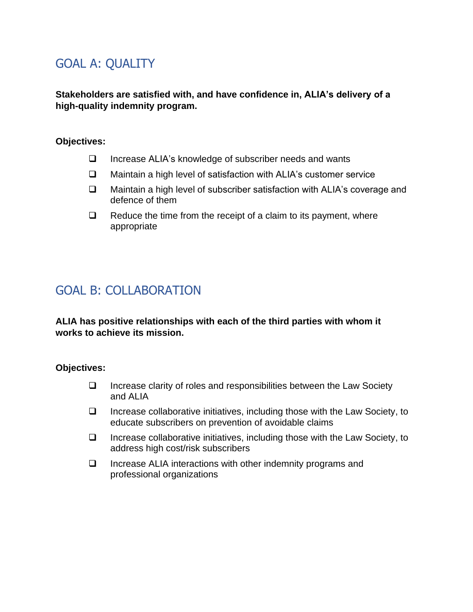# GOAL A: QUALITY

**Stakeholders are satisfied with, and have confidence in, ALIA's delivery of a high-quality indemnity program.**

#### **Objectives:**

- ❑ Increase ALIA's knowledge of subscriber needs and wants
- ❑ Maintain a high level of satisfaction with ALIA's customer service
- ❑ Maintain a high level of subscriber satisfaction with ALIA's coverage and defence of them
- ❑ Reduce the time from the receipt of a claim to its payment, where appropriate

## GOAL B: COLLABORATION

**ALIA has positive relationships with each of the third parties with whom it works to achieve its mission.**

#### **Objectives:**

- ❑ Increase clarity of roles and responsibilities between the Law Society and ALIA
- ❑ Increase collaborative initiatives, including those with the Law Society, to educate subscribers on prevention of avoidable claims
- ❑ Increase collaborative initiatives, including those with the Law Society, to address high cost/risk subscribers
- ❑ Increase ALIA interactions with other indemnity programs and professional organizations